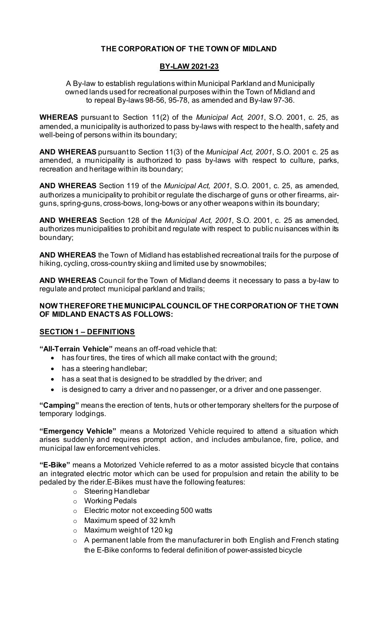# **THE CORPORATION OF THE TOWN OF MIDLAND**

### **BY-LAW 2021-23**

A By-law to establish regulations within Municipal Parkland and Municipally owned lands used for recreational purposes within the Town of Midland and to repeal By-laws 98-56, 95-78, as amended and By-law 97-36.

**WHEREAS** pursuant to Section 11(2) of the *Municipal Act, 2001*, S.O. 2001, c. 25, as amended, a municipality is authorized to pass by-laws with respect to the health, safety and well-being of persons within its boundary;

**AND WHEREAS** pursuant to Section 11(3) of the *Municipal Act, 2001*, S.O. 2001 c. 25 as amended, a municipality is authorized to pass by-laws with respect to culture, parks, recreation and heritage within its boundary;

**AND WHEREAS** Section 119 of the *Municipal Act, 2001*, S.O. 2001, c. 25, as amended, authorizes a municipality to prohibit or regulate the discharge of guns or other firearms, airguns, spring-guns, cross-bows, long-bows or any other weapons within its boundary;

**AND WHEREAS** Section 128 of the *Municipal Act, 2001*, S.O. 2001, c. 25 as amended, authorizes municipalities to prohibit and regulate with respect to public nuisances within its boundary;

**AND WHEREAS** the Town of Midland has established recreational trails for the purpose of hiking, cycling, cross-country skiing and limited use by snowmobiles;

**AND WHEREAS** Council for the Town of Midland deems it necessary to pass a by-law to regulate and protect municipal parkland and trails;

### **NOW THEREFORE THE MUNICIPAL COUNCIL OF THE CORPORATION OF THE TOWN OF MIDLAND ENACTS AS FOLLOWS:**

### **SECTION 1 – DEFINITIONS**

**"All-Terrain Vehicle"** means an off-road vehicle that:

- has four tires, the tires of which all make contact with the ground;
- has a steering handlebar;
- has a seat that is designed to be straddled by the driver; and
- is designed to carry a driver and no passenger, or a driver and one passenger.

**"Camping"** means the erection of tents, huts or other temporary shelters for the purpose of temporary lodgings.

**"Emergency Vehicle"** means a Motorized Vehicle required to attend a situation which arises suddenly and requires prompt action, and includes ambulance, fire, police, and municipal law enforcement vehicles.

**"E-Bike"** means a Motorized Vehicle referred to as a motor assisted bicycle that contains an integrated electric motor which can be used for propulsion and retain the ability to be pedaled by the rider.E-Bikes must have the following features:

- o Steering Handlebar
- o Working Pedals
- o Electric motor not exceeding 500 watts
- o Maximum speed of 32 km/h
- o Maximum weight of 120 kg
- $\circ$  A permanent lable from the manufacturer in both English and French stating the E-Bike conforms to federal definition of power-assisted bicycle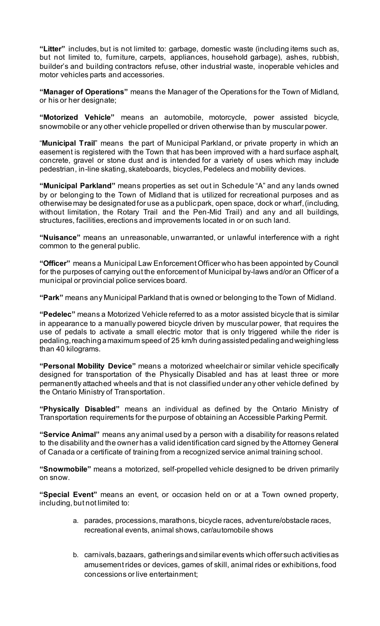**"Litter"** includes, but is not limited to: garbage, domestic waste (including items such as, but not limited to, furniture, carpets, appliances, household garbage), ashes, rubbish, builder's and building contractors refuse, other industrial waste, inoperable vehicles and motor vehicles parts and accessories.

**"Manager of Operations"** means the Manager of the Operations for the Town of Midland, or his or her designate;

**"Motorized Vehicle"** means an automobile, motorcycle, power assisted bicycle, snowmobile or any other vehicle propelled or driven otherwise than by muscular power.

"**Municipal Trail**" means the part of Municipal Parkland, or private property in which an easement is registered with the Town that has been improved with a hard surface asphalt, concrete, gravel or stone dust and is intended for a variety of uses which may include pedestrian, in-line skating, skateboards, bicycles, Pedelecs and mobility devices.

**"Municipal Parkland"** means properties as set out in Schedule "A" and any lands owned by or belonging to the Town of Midland that is utilized for recreational purposes and as otherwise may be designated for use as a public park, open space, dock or wharf, (including, without limitation, the Rotary Trail and the Pen-Mid Trail) and any and all buildings, structures, facilities, erections and improvements located in or on such land.

**"Nuisance"** means an unreasonable, unwarranted, or unlawful interference with a right common to the general public.

**"Officer"** means a Municipal Law Enforcement Officer who has been appointed by Council for the purposes of carrying out the enforcement of Municipal by-laws and/or an Officer of a municipal or provincial police services board.

**"Park"** means any Municipal Parkland that is owned or belonging to the Town of Midland.

**"Pedelec"** means a Motorized Vehicle referred to as a motor assisted bicycle that is similar in appearance to a manually powered bicycle driven by muscular power, that requires the use of pedals to activate a small electric motor that is only triggered while the rider is pedaling, reaching a maximum speed of 25 km/h during assisted pedaling and weighing less than 40 kilograms.

**"Personal Mobility Device"** means a motorized wheelchair or similar vehicle specifically designed for transportation of the Physically Disabled and has at least three or more permanently attached wheels and that is not classified under any other vehicle defined by the Ontario Ministry of Transportation.

**"Physically Disabled"** means an individual as defined by the Ontario Ministry of Transportation requirements for the purpose of obtaining an Accessible Parking Permit.

**"Service Animal"** means any animal used by a person with a disability for reasons related to the disability and the owner has a valid identification card signed by the Attorney General of Canada or a certificate of training from a recognized service animal training school.

**"Snowmobile"** means a motorized, self-propelled vehicle designed to be driven primarily on snow.

**"Special Event"** means an event, or occasion held on or at a Town owned property, including, but not limited to:

- a. parades, processions, marathons, bicycle races, adventure/obstacle races, recreational events, animal shows, car/automobile shows
- b. carnivals, bazaars, gatherings and similar events which offer such activities as amusement rides or devices, games of skill, animal rides or exhibitions, food concessions or live entertainment;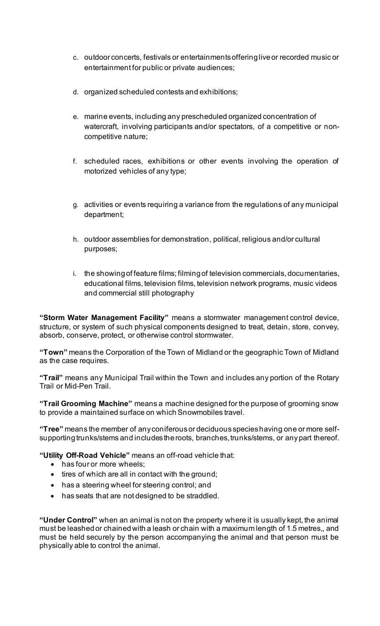- c. outdoor concerts, festivals or entertainments offering live or recorded music or entertainment for public or private audiences;
- d. organized scheduled contests and exhibitions;
- e. marine events, including any prescheduled organized concentration of watercraft, involving participants and/or spectators, of a competitive or noncompetitive nature;
- f. scheduled races, exhibitions or other events involving the operation of motorized vehicles of any type;
- g. activities or events requiring a variance from the regulations of any municipal department;
- h. outdoor assemblies for demonstration, political, religious and/or cultural purposes;
- i. the showing of feature films; filming of television commercials, documentaries, educational films, television films, television network programs, music videos and commercial still photography

**"Storm Water Management Facility"** means a stormwater management control device, structure, or system of such physical components designed to treat, detain, store, convey, absorb, conserve, protect, or otherwise control stormwater.

**"Town"** means the Corporation of the Town of Midland or the geographic Town of Midland as the case requires.

**"Trail"** means any Municipal Trail within the Town and includes any portion of the Rotary Trail or Mid-Pen Trail.

**"Trail Grooming Machine"** means a machine designed for the purpose of grooming snow to provide a maintained surface on which Snowmobiles travel.

**"Tree"** means the member of any coniferous or deciduous species having one or more selfsupporting trunks/stems and includes the roots, branches, trunks/stems, or any part thereof.

**"Utility Off-Road Vehicle"** means an off-road vehicle that:

- has four or more wheels:
- tires of which are all in contact with the ground;
- has a steering wheel for steering control; and
- has seats that are not designed to be straddled.

**"Under Control"** when an animal is not on the property where it is usually kept, the animal must be leashed or chainedwith a leash or chain with a maximum length of 1.5 metres,, and must be held securely by the person accompanying the animal and that person must be physically able to control the animal.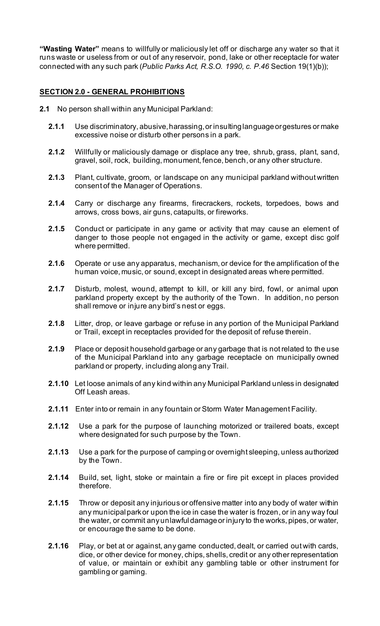**"Wasting Water"** means to willfully or maliciously let off or discharge any water so that it runs waste or useless from or out of any reservoir, pond, lake or other receptacle for water connected with any such park (*Public Parks Act, R.S.O. 1990, c. P.46* Section 19(1)(b));

### **SECTION 2.0 - GENERAL PROHIBITIONS**

- **2.1** No person shall within any Municipal Parkland:
	- **2.1.1** Use discriminatory, abusive, harassing,or insulting language or gestures or make excessive noise or disturb other persons in a park.
	- **2.1.2** Willfully or maliciously damage or displace any tree, shrub, grass, plant, sand, gravel, soil, rock, building, monument, fence, bench, or any other structure.
	- **2.1.3** Plant, cultivate, groom, or landscape on any municipal parkland without written consent of the Manager of Operations.
	- **2.1.4** Carry or discharge any firearms, firecrackers, rockets, torpedoes, bows and arrows, cross bows, air guns, catapults, or fireworks.
	- **2.1.5** Conduct or participate in any game or activity that may cause an element of danger to those people not engaged in the activity or game, except disc golf where permitted.
	- **2.1.6** Operate or use any apparatus, mechanism, or device for the amplification of the human voice, music, or sound, except in designated areas where permitted.
	- **2.1.7** Disturb, molest, wound, attempt to kill, or kill any bird, fowl, or animal upon parkland property except by the authority of the Town. In addition, no person shall remove or injure any bird's nest or eggs.
	- **2.1.8** Litter, drop, or leave garbage or refuse in any portion of the Municipal Parkland or Trail, except in receptacles provided for the deposit of refuse therein.
	- **2.1.9** Place or deposit household garbage or any garbage that is not related to the use of the Municipal Parkland into any garbage receptacle on municipally owned parkland or property, including along any Trail.
	- **2.1.10** Let loose animals of any kind within any Municipal Parkland unless in designated Off Leash areas.
	- **2.1.11** Enter into or remain in any fountain or Storm Water Management Facility.
	- **2.1.12** Use a park for the purpose of launching motorized or trailered boats, except where designated for such purpose by the Town.
	- **2.1.13** Use a park for the purpose of camping or overnight sleeping, unless authorized by the Town.
	- **2.1.14** Build, set, light, stoke or maintain a fire or fire pit except in places provided therefore.
	- **2.1.15** Throw or deposit any injurious or offensive matter into any body of water within any municipal park or upon the ice in case the water is frozen, or in any way foul the water, or commit any unlawful damage or injury to the works, pipes, or water, or encourage the same to be done.
	- **2.1.16** Play, or bet at or against, any game conducted, dealt, or carried out with cards, dice, or other device for money, chips, shells, credit or any other representation of value, or maintain or exhibit any gambling table or other instrument for gambling or gaming.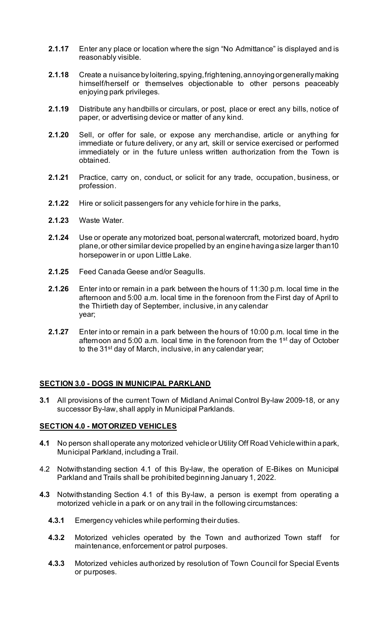- **2.1.17** Enter any place or location where the sign "No Admittance" is displayed and is reasonably visible.
- **2.1.18** Create a nuisance by loitering, spying, frightening, annoying or generally making himself/herself or themselves objectionable to other persons peaceably enjoying park privileges.
- **2.1.19** Distribute any handbills or circulars, or post, place or erect any bills, notice of paper, or advertising device or matter of any kind.
- **2.1.20** Sell, or offer for sale, or expose any merchandise, article or anything for immediate or future delivery, or any art, skill or service exercised or performed immediately or in the future unless written authorization from the Town is obtained.
- **2.1.21** Practice, carry on, conduct, or solicit for any trade, occupation, business, or profession.
- **2.1.22** Hire or solicit passengers for any vehicle for hire in the parks,
- **2.1.23** Waste Water.
- **2.1.24** Use or operate any motorized boat, personal watercraft, motorized board, hydro plane,or other similar device propelled by an engine having a size larger than10 horsepower in or upon Little Lake.
- **2.1.25** Feed Canada Geese and/or Seagulls.
- **2.1.26** Enter into or remain in a park between the hours of 11:30 p.m. local time in the afternoon and 5:00 a.m. local time in the forenoon from the First day of April to the Thirtieth day of September, inclusive, in any calendar year;
- **2.1.27** Enter into or remain in a park between the hours of 10:00 p.m. local time in the afternoon and 5:00 a.m. local time in the forenoon from the 1st day of October to the 31<sup>st</sup> day of March, inclusive, in any calendar year;

### **SECTION 3.0 - DOGS IN MUNICIPAL PARKLAND**

**3.1** All provisions of the current Town of Midland Animal Control By-law 2009-18, or any successor By-law, shall apply in Municipal Parklands.

#### **SECTION 4.0 - MOTORIZED VEHICLES**

- **4.1** No person shall operate any motorized vehicleor Utility Off Road Vehiclewithin a park, Municipal Parkland, including a Trail.
- 4.2 Notwithstanding section 4.1 of this By-law, the operation of E-Bikes on Municipal Parkland and Trails shall be prohibited beginning January 1, 2022.
- **4.3** Notwithstanding Section 4.1 of this By-law, a person is exempt from operating a motorized vehicle in a park or on any trail in the following circumstances:
	- **4.3.1** Emergency vehicles while performing their duties.
	- **4.3.2** Motorized vehicles operated by the Town and authorized Town staff for maintenance, enforcement or patrol purposes.
	- **4.3.3** Motorized vehicles authorized by resolution of Town Council for Special Events or purposes.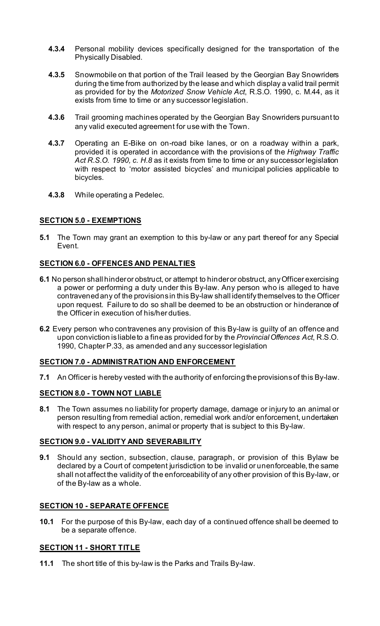- **4.3.4** Personal mobility devices specifically designed for the transportation of the Physically Disabled.
- **4.3.5** Snowmobile on that portion of the Trail leased by the Georgian Bay Snowriders during the time from authorized by the lease and which display a valid trail permit as provided for by the *Motorized Snow Vehicle Act*, R.S.O. 1990, c. M.44, as it exists from time to time or any successor legislation.
- **4.3.6** Trail grooming machines operated by the Georgian Bay Snowriders pursuant to any valid executed agreement for use with the Town.
- **4.3.7** Operating an E-Bike on on-road bike lanes, or on a roadway within a park, provided it is operated in accordance with the provisions of the *Highway Traffic Act R.S.O. 1990, c. H.8* as it exists from time to time or any successor legislation with respect to 'motor assisted bicycles' and municipal policies applicable to bicycles.
- **4.3.8** While operating a Pedelec.

### **SECTION 5.0 - EXEMPTIONS**

**5.1** The Town may grant an exemption to this by-law or any part thereof for any Special Event.

### **SECTION 6.0 - OFFENCES AND PENALTIES**

- **6.1** No person shall hinder or obstruct, or attempt to hinder or obstruct, any Officer exercising a power or performing a duty under this By-law. Any person who is alleged to have contravened any of the provisions in this By-law shall identify themselves to the Officer upon request. Failure to do so shall be deemed to be an obstruction or hinderance of the Officer in execution of his/her duties.
- **6.2** Every person who contravenes any provision of this By-law is guilty of an offence and upon conviction is liable to a fine as provided for by the *Provincial Offences Act*, R.S.O. 1990, Chapter P.33, as amended and any successor legislation

### **SECTION 7.0 - ADMINISTRATION AND ENFORCEMENT**

**7.1** An Officer is hereby vested with the authority of enforcing the provisions of this By-law.

### **SECTION 8.0 - TOWN NOT LIABLE**

**8.1** The Town assumes no liability for property damage, damage or injury to an animal or person resulting from remedial action, remedial work and/or enforcement, undertaken with respect to any person, animal or property that is subject to this By-law.

#### **SECTION 9.0 - VALIDITY AND SEVERABILITY**

**9.1** Should any section, subsection, clause, paragraph, or provision of this Bylaw be declared by a Court of competent jurisdiction to be invalid or unenforceable, the same shall not affect the validity of the enforceability of any other provision of this By-law, or of the By-law as a whole.

### **SECTION 10 - SEPARATE OFFENCE**

**10.1** For the purpose of this By-law, each day of a continued offence shall be deemed to be a separate offence.

### **SECTION 11 - SHORT TITLE**

**11.1** The short title of this by-law is the Parks and Trails By-law.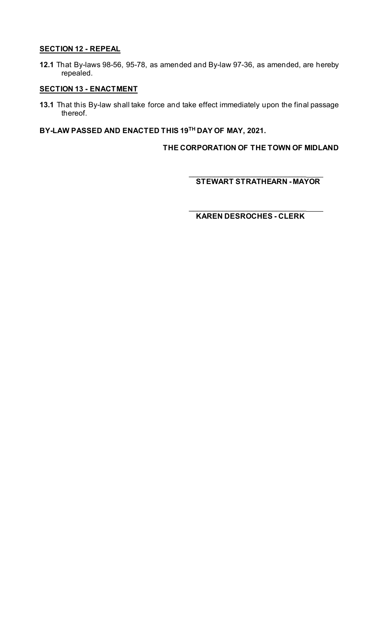### **SECTION 12 - REPEAL**

**12.1** That By-laws 98-56, 95-78, as amended and By-law 97-36, as amended, are hereby repealed.

# **SECTION 13 - ENACTMENT**

**13.1** That this By-law shall take force and take effect immediately upon the final passage thereof.

**BY-LAW PASSED AND ENACTED THIS 19TH DAY OF MAY, 2021.**

**THE CORPORATION OF THE TOWN OF MIDLAND**

\_\_\_\_\_\_\_\_\_\_\_\_\_\_\_\_\_\_\_\_\_\_\_\_\_\_\_\_ **STEWART STRATHEARN - MAYOR**

\_\_\_\_\_\_\_\_\_\_\_\_\_\_\_\_\_\_\_\_\_\_\_\_\_\_\_\_ **KAREN DESROCHES - CLERK**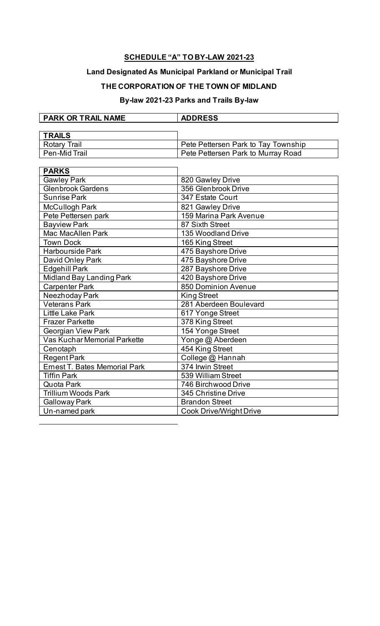# **SCHEDULE "A" TO BY-LAW 2021-23**

# **Land Designated As Municipal Parkland or Municipal Trail**

# **THE CORPORATION OF THE TOWN OF MIDLAND**

# **By-law 2021-23 Parks and Trails By-law**

| <b>PARK OR TRAIL NAME</b> | <b>ADDRESS</b>                      |
|---------------------------|-------------------------------------|
|                           |                                     |
| <b>TRAILS</b>             |                                     |
| <b>Rotary Trail</b>       | Pete Pettersen Park to Tay Township |
| Pen-Mid Trail             | Pete Pettersen Park to Murray Road  |
|                           |                                     |

| <b>PARKS</b>                         |                                |
|--------------------------------------|--------------------------------|
| <b>Gawley Park</b>                   | 820 Gawley Drive               |
| <b>Glenbrook Gardens</b>             | 356 Glenbrook Drive            |
| <b>Sunrise Park</b>                  | 347 Estate Court               |
| <b>McCullogh Park</b>                | 821 Gawley Drive               |
| Pete Pettersen park                  | 159 Marina Park Avenue         |
| <b>Bayview Park</b>                  | 87 Sixth Street                |
| <b>Mac MacAllen Park</b>             | 135 Woodland Drive             |
| <b>Town Dock</b>                     | 165 King Street                |
| Harbourside Park                     | 475 Bayshore Drive             |
| David Onley Park                     | 475 Bayshore Drive             |
| Edgehill Park                        | 287 Bayshore Drive             |
| Midland Bay Landing Park             | 420 Bayshore Drive             |
| <b>Carpenter Park</b>                | 850 Dominion Avenue            |
| Neezhoday Park                       | <b>King Street</b>             |
| <b>Veterans Park</b>                 | 281 Aberdeen Boulevard         |
| Little Lake Park                     | 617 Yonge Street               |
| <b>Frazer Parkette</b>               | 378 King Street                |
| <b>Georgian View Park</b>            | 154 Yonge Street               |
| Vas Kuchar Memorial Parkette         | Yonge @ Aberdeen               |
| Cenotaph                             | 454 King Street                |
| <b>Regent Park</b>                   | College @ Hannah               |
| <b>Ernest T. Bates Memorial Park</b> | 374 Irwin Street               |
| <b>Tiffin Park</b>                   | 539 William Street             |
| Quota Park                           | 746 Birchwood Drive            |
| Trillium Woods Park                  | 345 Christine Drive            |
| <b>Galloway Park</b>                 | <b>Brandon Street</b>          |
| Un-named park                        | <b>Cook Drive/Wright Drive</b> |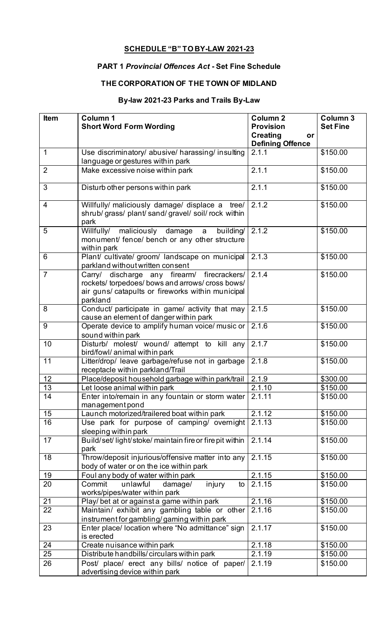# **SCHEDULE "B" TO BY-LAW 2021-23**

# **PART 1** *Provincial Offences Act* **- Set Fine Schedule**

# **THE CORPORATION OF THE TOWN OF MIDLAND**

# **By-law 2021-23 Parks and Trails By-Law**

| <b>Provision</b><br><b>Set Fine</b><br><b>Short Word Form Wording</b><br><b>Creating</b><br>or<br><b>Defining Offence</b><br>2.1.1<br>\$150.00<br>Use discriminatory/ abusive/ harassing/ insulting<br>$\mathbf 1$<br>language or gestures within park<br>2.1.1<br>$\overline{2}$<br>Make excessive noise within park<br>\$150.00<br>3<br>Disturb other persons within park<br>2.1.1<br>\$150.00<br>2.1.2<br>$\overline{4}$<br>Willfully/ maliciously damage/ displace a tree/<br>\$150.00<br>shrub/ grass/ plant/ sand/ gravel/ soil/ rock within<br>park<br>2.1.2<br>5<br>\$150.00<br>maliciously damage<br>Willfully/<br>building/<br>a<br>monument/ fence/ bench or any other structure<br>within park<br>2.1.3<br>Plant/ cultivate/ groom/ landscape on municipal<br>\$150.00<br>6<br>parkland without written consent<br>$\overline{7}$<br>2.1.4<br>Carry/ discharge any firearm/ firecrackers/<br>\$150.00<br>rockets/ torpedoes/ bows and arrows/ cross bows/<br>air guns/ catapults or fireworks within municipal<br>parkland<br>2.1.5<br>Conduct/ participate in game/ activity that may<br>\$150.00<br>8<br>cause an element of danger within park<br>2.1.6<br>9<br>Operate device to amplify human voice/ music or<br>\$150.00<br>sound within park<br>2.1.7<br>Disturb/ molest/ wound/ attempt to kill any<br>\$150.00<br>10<br>bird/fowl/ animal within park<br>2.1.8<br>11<br>Litter/drop/ leave garbage/refuse not in garbage<br>\$150.00<br>receptacle within parkland/Trail<br>12<br>Place/deposit household garbage within park/trail<br>2.1.9<br>\$300.00<br>13<br>Let loose animal within park<br>2.1.10<br>\$150.00<br>2.1.11<br>Enter into/remain in any fountain or storm water<br>\$150.00<br>14<br>management pond<br>2.1.12<br>15<br>Launch motorized/trailered boat within park<br>\$150.00<br>2.1.13<br>16<br>Use park for purpose of camping/ overnight<br>\$150.00<br>sleeping within park<br>Build/set/light/stoke/maintain fire or fire pit within<br>17<br>2.1.14<br>\$150.00<br>park<br>Throw/deposit injurious/offensive matter into any<br>2.1.15<br>18<br>\$150.00<br>body of water or on the ice within park<br>19<br>Foul any body of water within park<br>2.1.15<br>\$150.00<br>2.1.15<br>20<br>Commit<br>unlawful<br>\$150.00<br>damage/<br>injury<br>to<br>works/pipes/water within park<br>2.1.16<br>21<br>Play/ bet at or against a game within park<br>\$150.00<br>22<br>Maintain/ exhibit any gambling table or other<br>2.1.16<br>\$150.00<br>instrument for gambling/gaming within park<br>23<br>Enter place/ location where "No admittance" sign<br>2.1.17<br>\$150.00<br>is erected<br>2.1.18<br>24<br>\$150.00<br>Create nuisance within park<br>25<br>Distribute handbills/circulars within park<br>2.1.19<br>\$150.00<br>Post/ place/ erect any bills/ notice of paper/<br>26<br>2.1.19<br>\$150.00<br>advertising device within park | <b>Item</b> | Column 1 | <b>Column 2</b> | <b>Column 3</b> |
|---------------------------------------------------------------------------------------------------------------------------------------------------------------------------------------------------------------------------------------------------------------------------------------------------------------------------------------------------------------------------------------------------------------------------------------------------------------------------------------------------------------------------------------------------------------------------------------------------------------------------------------------------------------------------------------------------------------------------------------------------------------------------------------------------------------------------------------------------------------------------------------------------------------------------------------------------------------------------------------------------------------------------------------------------------------------------------------------------------------------------------------------------------------------------------------------------------------------------------------------------------------------------------------------------------------------------------------------------------------------------------------------------------------------------------------------------------------------------------------------------------------------------------------------------------------------------------------------------------------------------------------------------------------------------------------------------------------------------------------------------------------------------------------------------------------------------------------------------------------------------------------------------------------------------------------------------------------------------------------------------------------------------------------------------------------------------------------------------------------------------------------------------------------------------------------------------------------------------------------------------------------------------------------------------------------------------------------------------------------------------------------------------------------------------------------------------------------------------------------------------------------------------------------------------------------------------------------------------------------------------------------------------------------------------------------------------------------------------------------------------------------------------------------------------------------------------------------------------------------------------------------------|-------------|----------|-----------------|-----------------|
|                                                                                                                                                                                                                                                                                                                                                                                                                                                                                                                                                                                                                                                                                                                                                                                                                                                                                                                                                                                                                                                                                                                                                                                                                                                                                                                                                                                                                                                                                                                                                                                                                                                                                                                                                                                                                                                                                                                                                                                                                                                                                                                                                                                                                                                                                                                                                                                                                                                                                                                                                                                                                                                                                                                                                                                                                                                                                             |             |          |                 |                 |
|                                                                                                                                                                                                                                                                                                                                                                                                                                                                                                                                                                                                                                                                                                                                                                                                                                                                                                                                                                                                                                                                                                                                                                                                                                                                                                                                                                                                                                                                                                                                                                                                                                                                                                                                                                                                                                                                                                                                                                                                                                                                                                                                                                                                                                                                                                                                                                                                                                                                                                                                                                                                                                                                                                                                                                                                                                                                                             |             |          |                 |                 |
|                                                                                                                                                                                                                                                                                                                                                                                                                                                                                                                                                                                                                                                                                                                                                                                                                                                                                                                                                                                                                                                                                                                                                                                                                                                                                                                                                                                                                                                                                                                                                                                                                                                                                                                                                                                                                                                                                                                                                                                                                                                                                                                                                                                                                                                                                                                                                                                                                                                                                                                                                                                                                                                                                                                                                                                                                                                                                             |             |          |                 |                 |
|                                                                                                                                                                                                                                                                                                                                                                                                                                                                                                                                                                                                                                                                                                                                                                                                                                                                                                                                                                                                                                                                                                                                                                                                                                                                                                                                                                                                                                                                                                                                                                                                                                                                                                                                                                                                                                                                                                                                                                                                                                                                                                                                                                                                                                                                                                                                                                                                                                                                                                                                                                                                                                                                                                                                                                                                                                                                                             |             |          |                 |                 |
|                                                                                                                                                                                                                                                                                                                                                                                                                                                                                                                                                                                                                                                                                                                                                                                                                                                                                                                                                                                                                                                                                                                                                                                                                                                                                                                                                                                                                                                                                                                                                                                                                                                                                                                                                                                                                                                                                                                                                                                                                                                                                                                                                                                                                                                                                                                                                                                                                                                                                                                                                                                                                                                                                                                                                                                                                                                                                             |             |          |                 |                 |
|                                                                                                                                                                                                                                                                                                                                                                                                                                                                                                                                                                                                                                                                                                                                                                                                                                                                                                                                                                                                                                                                                                                                                                                                                                                                                                                                                                                                                                                                                                                                                                                                                                                                                                                                                                                                                                                                                                                                                                                                                                                                                                                                                                                                                                                                                                                                                                                                                                                                                                                                                                                                                                                                                                                                                                                                                                                                                             |             |          |                 |                 |
|                                                                                                                                                                                                                                                                                                                                                                                                                                                                                                                                                                                                                                                                                                                                                                                                                                                                                                                                                                                                                                                                                                                                                                                                                                                                                                                                                                                                                                                                                                                                                                                                                                                                                                                                                                                                                                                                                                                                                                                                                                                                                                                                                                                                                                                                                                                                                                                                                                                                                                                                                                                                                                                                                                                                                                                                                                                                                             |             |          |                 |                 |
|                                                                                                                                                                                                                                                                                                                                                                                                                                                                                                                                                                                                                                                                                                                                                                                                                                                                                                                                                                                                                                                                                                                                                                                                                                                                                                                                                                                                                                                                                                                                                                                                                                                                                                                                                                                                                                                                                                                                                                                                                                                                                                                                                                                                                                                                                                                                                                                                                                                                                                                                                                                                                                                                                                                                                                                                                                                                                             |             |          |                 |                 |
|                                                                                                                                                                                                                                                                                                                                                                                                                                                                                                                                                                                                                                                                                                                                                                                                                                                                                                                                                                                                                                                                                                                                                                                                                                                                                                                                                                                                                                                                                                                                                                                                                                                                                                                                                                                                                                                                                                                                                                                                                                                                                                                                                                                                                                                                                                                                                                                                                                                                                                                                                                                                                                                                                                                                                                                                                                                                                             |             |          |                 |                 |
|                                                                                                                                                                                                                                                                                                                                                                                                                                                                                                                                                                                                                                                                                                                                                                                                                                                                                                                                                                                                                                                                                                                                                                                                                                                                                                                                                                                                                                                                                                                                                                                                                                                                                                                                                                                                                                                                                                                                                                                                                                                                                                                                                                                                                                                                                                                                                                                                                                                                                                                                                                                                                                                                                                                                                                                                                                                                                             |             |          |                 |                 |
|                                                                                                                                                                                                                                                                                                                                                                                                                                                                                                                                                                                                                                                                                                                                                                                                                                                                                                                                                                                                                                                                                                                                                                                                                                                                                                                                                                                                                                                                                                                                                                                                                                                                                                                                                                                                                                                                                                                                                                                                                                                                                                                                                                                                                                                                                                                                                                                                                                                                                                                                                                                                                                                                                                                                                                                                                                                                                             |             |          |                 |                 |
|                                                                                                                                                                                                                                                                                                                                                                                                                                                                                                                                                                                                                                                                                                                                                                                                                                                                                                                                                                                                                                                                                                                                                                                                                                                                                                                                                                                                                                                                                                                                                                                                                                                                                                                                                                                                                                                                                                                                                                                                                                                                                                                                                                                                                                                                                                                                                                                                                                                                                                                                                                                                                                                                                                                                                                                                                                                                                             |             |          |                 |                 |
|                                                                                                                                                                                                                                                                                                                                                                                                                                                                                                                                                                                                                                                                                                                                                                                                                                                                                                                                                                                                                                                                                                                                                                                                                                                                                                                                                                                                                                                                                                                                                                                                                                                                                                                                                                                                                                                                                                                                                                                                                                                                                                                                                                                                                                                                                                                                                                                                                                                                                                                                                                                                                                                                                                                                                                                                                                                                                             |             |          |                 |                 |
|                                                                                                                                                                                                                                                                                                                                                                                                                                                                                                                                                                                                                                                                                                                                                                                                                                                                                                                                                                                                                                                                                                                                                                                                                                                                                                                                                                                                                                                                                                                                                                                                                                                                                                                                                                                                                                                                                                                                                                                                                                                                                                                                                                                                                                                                                                                                                                                                                                                                                                                                                                                                                                                                                                                                                                                                                                                                                             |             |          |                 |                 |
|                                                                                                                                                                                                                                                                                                                                                                                                                                                                                                                                                                                                                                                                                                                                                                                                                                                                                                                                                                                                                                                                                                                                                                                                                                                                                                                                                                                                                                                                                                                                                                                                                                                                                                                                                                                                                                                                                                                                                                                                                                                                                                                                                                                                                                                                                                                                                                                                                                                                                                                                                                                                                                                                                                                                                                                                                                                                                             |             |          |                 |                 |
|                                                                                                                                                                                                                                                                                                                                                                                                                                                                                                                                                                                                                                                                                                                                                                                                                                                                                                                                                                                                                                                                                                                                                                                                                                                                                                                                                                                                                                                                                                                                                                                                                                                                                                                                                                                                                                                                                                                                                                                                                                                                                                                                                                                                                                                                                                                                                                                                                                                                                                                                                                                                                                                                                                                                                                                                                                                                                             |             |          |                 |                 |
|                                                                                                                                                                                                                                                                                                                                                                                                                                                                                                                                                                                                                                                                                                                                                                                                                                                                                                                                                                                                                                                                                                                                                                                                                                                                                                                                                                                                                                                                                                                                                                                                                                                                                                                                                                                                                                                                                                                                                                                                                                                                                                                                                                                                                                                                                                                                                                                                                                                                                                                                                                                                                                                                                                                                                                                                                                                                                             |             |          |                 |                 |
|                                                                                                                                                                                                                                                                                                                                                                                                                                                                                                                                                                                                                                                                                                                                                                                                                                                                                                                                                                                                                                                                                                                                                                                                                                                                                                                                                                                                                                                                                                                                                                                                                                                                                                                                                                                                                                                                                                                                                                                                                                                                                                                                                                                                                                                                                                                                                                                                                                                                                                                                                                                                                                                                                                                                                                                                                                                                                             |             |          |                 |                 |
|                                                                                                                                                                                                                                                                                                                                                                                                                                                                                                                                                                                                                                                                                                                                                                                                                                                                                                                                                                                                                                                                                                                                                                                                                                                                                                                                                                                                                                                                                                                                                                                                                                                                                                                                                                                                                                                                                                                                                                                                                                                                                                                                                                                                                                                                                                                                                                                                                                                                                                                                                                                                                                                                                                                                                                                                                                                                                             |             |          |                 |                 |
|                                                                                                                                                                                                                                                                                                                                                                                                                                                                                                                                                                                                                                                                                                                                                                                                                                                                                                                                                                                                                                                                                                                                                                                                                                                                                                                                                                                                                                                                                                                                                                                                                                                                                                                                                                                                                                                                                                                                                                                                                                                                                                                                                                                                                                                                                                                                                                                                                                                                                                                                                                                                                                                                                                                                                                                                                                                                                             |             |          |                 |                 |
|                                                                                                                                                                                                                                                                                                                                                                                                                                                                                                                                                                                                                                                                                                                                                                                                                                                                                                                                                                                                                                                                                                                                                                                                                                                                                                                                                                                                                                                                                                                                                                                                                                                                                                                                                                                                                                                                                                                                                                                                                                                                                                                                                                                                                                                                                                                                                                                                                                                                                                                                                                                                                                                                                                                                                                                                                                                                                             |             |          |                 |                 |
|                                                                                                                                                                                                                                                                                                                                                                                                                                                                                                                                                                                                                                                                                                                                                                                                                                                                                                                                                                                                                                                                                                                                                                                                                                                                                                                                                                                                                                                                                                                                                                                                                                                                                                                                                                                                                                                                                                                                                                                                                                                                                                                                                                                                                                                                                                                                                                                                                                                                                                                                                                                                                                                                                                                                                                                                                                                                                             |             |          |                 |                 |
|                                                                                                                                                                                                                                                                                                                                                                                                                                                                                                                                                                                                                                                                                                                                                                                                                                                                                                                                                                                                                                                                                                                                                                                                                                                                                                                                                                                                                                                                                                                                                                                                                                                                                                                                                                                                                                                                                                                                                                                                                                                                                                                                                                                                                                                                                                                                                                                                                                                                                                                                                                                                                                                                                                                                                                                                                                                                                             |             |          |                 |                 |
|                                                                                                                                                                                                                                                                                                                                                                                                                                                                                                                                                                                                                                                                                                                                                                                                                                                                                                                                                                                                                                                                                                                                                                                                                                                                                                                                                                                                                                                                                                                                                                                                                                                                                                                                                                                                                                                                                                                                                                                                                                                                                                                                                                                                                                                                                                                                                                                                                                                                                                                                                                                                                                                                                                                                                                                                                                                                                             |             |          |                 |                 |
|                                                                                                                                                                                                                                                                                                                                                                                                                                                                                                                                                                                                                                                                                                                                                                                                                                                                                                                                                                                                                                                                                                                                                                                                                                                                                                                                                                                                                                                                                                                                                                                                                                                                                                                                                                                                                                                                                                                                                                                                                                                                                                                                                                                                                                                                                                                                                                                                                                                                                                                                                                                                                                                                                                                                                                                                                                                                                             |             |          |                 |                 |
|                                                                                                                                                                                                                                                                                                                                                                                                                                                                                                                                                                                                                                                                                                                                                                                                                                                                                                                                                                                                                                                                                                                                                                                                                                                                                                                                                                                                                                                                                                                                                                                                                                                                                                                                                                                                                                                                                                                                                                                                                                                                                                                                                                                                                                                                                                                                                                                                                                                                                                                                                                                                                                                                                                                                                                                                                                                                                             |             |          |                 |                 |
|                                                                                                                                                                                                                                                                                                                                                                                                                                                                                                                                                                                                                                                                                                                                                                                                                                                                                                                                                                                                                                                                                                                                                                                                                                                                                                                                                                                                                                                                                                                                                                                                                                                                                                                                                                                                                                                                                                                                                                                                                                                                                                                                                                                                                                                                                                                                                                                                                                                                                                                                                                                                                                                                                                                                                                                                                                                                                             |             |          |                 |                 |
|                                                                                                                                                                                                                                                                                                                                                                                                                                                                                                                                                                                                                                                                                                                                                                                                                                                                                                                                                                                                                                                                                                                                                                                                                                                                                                                                                                                                                                                                                                                                                                                                                                                                                                                                                                                                                                                                                                                                                                                                                                                                                                                                                                                                                                                                                                                                                                                                                                                                                                                                                                                                                                                                                                                                                                                                                                                                                             |             |          |                 |                 |
|                                                                                                                                                                                                                                                                                                                                                                                                                                                                                                                                                                                                                                                                                                                                                                                                                                                                                                                                                                                                                                                                                                                                                                                                                                                                                                                                                                                                                                                                                                                                                                                                                                                                                                                                                                                                                                                                                                                                                                                                                                                                                                                                                                                                                                                                                                                                                                                                                                                                                                                                                                                                                                                                                                                                                                                                                                                                                             |             |          |                 |                 |
|                                                                                                                                                                                                                                                                                                                                                                                                                                                                                                                                                                                                                                                                                                                                                                                                                                                                                                                                                                                                                                                                                                                                                                                                                                                                                                                                                                                                                                                                                                                                                                                                                                                                                                                                                                                                                                                                                                                                                                                                                                                                                                                                                                                                                                                                                                                                                                                                                                                                                                                                                                                                                                                                                                                                                                                                                                                                                             |             |          |                 |                 |
|                                                                                                                                                                                                                                                                                                                                                                                                                                                                                                                                                                                                                                                                                                                                                                                                                                                                                                                                                                                                                                                                                                                                                                                                                                                                                                                                                                                                                                                                                                                                                                                                                                                                                                                                                                                                                                                                                                                                                                                                                                                                                                                                                                                                                                                                                                                                                                                                                                                                                                                                                                                                                                                                                                                                                                                                                                                                                             |             |          |                 |                 |
|                                                                                                                                                                                                                                                                                                                                                                                                                                                                                                                                                                                                                                                                                                                                                                                                                                                                                                                                                                                                                                                                                                                                                                                                                                                                                                                                                                                                                                                                                                                                                                                                                                                                                                                                                                                                                                                                                                                                                                                                                                                                                                                                                                                                                                                                                                                                                                                                                                                                                                                                                                                                                                                                                                                                                                                                                                                                                             |             |          |                 |                 |
|                                                                                                                                                                                                                                                                                                                                                                                                                                                                                                                                                                                                                                                                                                                                                                                                                                                                                                                                                                                                                                                                                                                                                                                                                                                                                                                                                                                                                                                                                                                                                                                                                                                                                                                                                                                                                                                                                                                                                                                                                                                                                                                                                                                                                                                                                                                                                                                                                                                                                                                                                                                                                                                                                                                                                                                                                                                                                             |             |          |                 |                 |
|                                                                                                                                                                                                                                                                                                                                                                                                                                                                                                                                                                                                                                                                                                                                                                                                                                                                                                                                                                                                                                                                                                                                                                                                                                                                                                                                                                                                                                                                                                                                                                                                                                                                                                                                                                                                                                                                                                                                                                                                                                                                                                                                                                                                                                                                                                                                                                                                                                                                                                                                                                                                                                                                                                                                                                                                                                                                                             |             |          |                 |                 |
|                                                                                                                                                                                                                                                                                                                                                                                                                                                                                                                                                                                                                                                                                                                                                                                                                                                                                                                                                                                                                                                                                                                                                                                                                                                                                                                                                                                                                                                                                                                                                                                                                                                                                                                                                                                                                                                                                                                                                                                                                                                                                                                                                                                                                                                                                                                                                                                                                                                                                                                                                                                                                                                                                                                                                                                                                                                                                             |             |          |                 |                 |
|                                                                                                                                                                                                                                                                                                                                                                                                                                                                                                                                                                                                                                                                                                                                                                                                                                                                                                                                                                                                                                                                                                                                                                                                                                                                                                                                                                                                                                                                                                                                                                                                                                                                                                                                                                                                                                                                                                                                                                                                                                                                                                                                                                                                                                                                                                                                                                                                                                                                                                                                                                                                                                                                                                                                                                                                                                                                                             |             |          |                 |                 |
|                                                                                                                                                                                                                                                                                                                                                                                                                                                                                                                                                                                                                                                                                                                                                                                                                                                                                                                                                                                                                                                                                                                                                                                                                                                                                                                                                                                                                                                                                                                                                                                                                                                                                                                                                                                                                                                                                                                                                                                                                                                                                                                                                                                                                                                                                                                                                                                                                                                                                                                                                                                                                                                                                                                                                                                                                                                                                             |             |          |                 |                 |
|                                                                                                                                                                                                                                                                                                                                                                                                                                                                                                                                                                                                                                                                                                                                                                                                                                                                                                                                                                                                                                                                                                                                                                                                                                                                                                                                                                                                                                                                                                                                                                                                                                                                                                                                                                                                                                                                                                                                                                                                                                                                                                                                                                                                                                                                                                                                                                                                                                                                                                                                                                                                                                                                                                                                                                                                                                                                                             |             |          |                 |                 |
|                                                                                                                                                                                                                                                                                                                                                                                                                                                                                                                                                                                                                                                                                                                                                                                                                                                                                                                                                                                                                                                                                                                                                                                                                                                                                                                                                                                                                                                                                                                                                                                                                                                                                                                                                                                                                                                                                                                                                                                                                                                                                                                                                                                                                                                                                                                                                                                                                                                                                                                                                                                                                                                                                                                                                                                                                                                                                             |             |          |                 |                 |
|                                                                                                                                                                                                                                                                                                                                                                                                                                                                                                                                                                                                                                                                                                                                                                                                                                                                                                                                                                                                                                                                                                                                                                                                                                                                                                                                                                                                                                                                                                                                                                                                                                                                                                                                                                                                                                                                                                                                                                                                                                                                                                                                                                                                                                                                                                                                                                                                                                                                                                                                                                                                                                                                                                                                                                                                                                                                                             |             |          |                 |                 |
|                                                                                                                                                                                                                                                                                                                                                                                                                                                                                                                                                                                                                                                                                                                                                                                                                                                                                                                                                                                                                                                                                                                                                                                                                                                                                                                                                                                                                                                                                                                                                                                                                                                                                                                                                                                                                                                                                                                                                                                                                                                                                                                                                                                                                                                                                                                                                                                                                                                                                                                                                                                                                                                                                                                                                                                                                                                                                             |             |          |                 |                 |
|                                                                                                                                                                                                                                                                                                                                                                                                                                                                                                                                                                                                                                                                                                                                                                                                                                                                                                                                                                                                                                                                                                                                                                                                                                                                                                                                                                                                                                                                                                                                                                                                                                                                                                                                                                                                                                                                                                                                                                                                                                                                                                                                                                                                                                                                                                                                                                                                                                                                                                                                                                                                                                                                                                                                                                                                                                                                                             |             |          |                 |                 |
|                                                                                                                                                                                                                                                                                                                                                                                                                                                                                                                                                                                                                                                                                                                                                                                                                                                                                                                                                                                                                                                                                                                                                                                                                                                                                                                                                                                                                                                                                                                                                                                                                                                                                                                                                                                                                                                                                                                                                                                                                                                                                                                                                                                                                                                                                                                                                                                                                                                                                                                                                                                                                                                                                                                                                                                                                                                                                             |             |          |                 |                 |
|                                                                                                                                                                                                                                                                                                                                                                                                                                                                                                                                                                                                                                                                                                                                                                                                                                                                                                                                                                                                                                                                                                                                                                                                                                                                                                                                                                                                                                                                                                                                                                                                                                                                                                                                                                                                                                                                                                                                                                                                                                                                                                                                                                                                                                                                                                                                                                                                                                                                                                                                                                                                                                                                                                                                                                                                                                                                                             |             |          |                 |                 |
|                                                                                                                                                                                                                                                                                                                                                                                                                                                                                                                                                                                                                                                                                                                                                                                                                                                                                                                                                                                                                                                                                                                                                                                                                                                                                                                                                                                                                                                                                                                                                                                                                                                                                                                                                                                                                                                                                                                                                                                                                                                                                                                                                                                                                                                                                                                                                                                                                                                                                                                                                                                                                                                                                                                                                                                                                                                                                             |             |          |                 |                 |
|                                                                                                                                                                                                                                                                                                                                                                                                                                                                                                                                                                                                                                                                                                                                                                                                                                                                                                                                                                                                                                                                                                                                                                                                                                                                                                                                                                                                                                                                                                                                                                                                                                                                                                                                                                                                                                                                                                                                                                                                                                                                                                                                                                                                                                                                                                                                                                                                                                                                                                                                                                                                                                                                                                                                                                                                                                                                                             |             |          |                 |                 |
|                                                                                                                                                                                                                                                                                                                                                                                                                                                                                                                                                                                                                                                                                                                                                                                                                                                                                                                                                                                                                                                                                                                                                                                                                                                                                                                                                                                                                                                                                                                                                                                                                                                                                                                                                                                                                                                                                                                                                                                                                                                                                                                                                                                                                                                                                                                                                                                                                                                                                                                                                                                                                                                                                                                                                                                                                                                                                             |             |          |                 |                 |
|                                                                                                                                                                                                                                                                                                                                                                                                                                                                                                                                                                                                                                                                                                                                                                                                                                                                                                                                                                                                                                                                                                                                                                                                                                                                                                                                                                                                                                                                                                                                                                                                                                                                                                                                                                                                                                                                                                                                                                                                                                                                                                                                                                                                                                                                                                                                                                                                                                                                                                                                                                                                                                                                                                                                                                                                                                                                                             |             |          |                 |                 |
|                                                                                                                                                                                                                                                                                                                                                                                                                                                                                                                                                                                                                                                                                                                                                                                                                                                                                                                                                                                                                                                                                                                                                                                                                                                                                                                                                                                                                                                                                                                                                                                                                                                                                                                                                                                                                                                                                                                                                                                                                                                                                                                                                                                                                                                                                                                                                                                                                                                                                                                                                                                                                                                                                                                                                                                                                                                                                             |             |          |                 |                 |
|                                                                                                                                                                                                                                                                                                                                                                                                                                                                                                                                                                                                                                                                                                                                                                                                                                                                                                                                                                                                                                                                                                                                                                                                                                                                                                                                                                                                                                                                                                                                                                                                                                                                                                                                                                                                                                                                                                                                                                                                                                                                                                                                                                                                                                                                                                                                                                                                                                                                                                                                                                                                                                                                                                                                                                                                                                                                                             |             |          |                 |                 |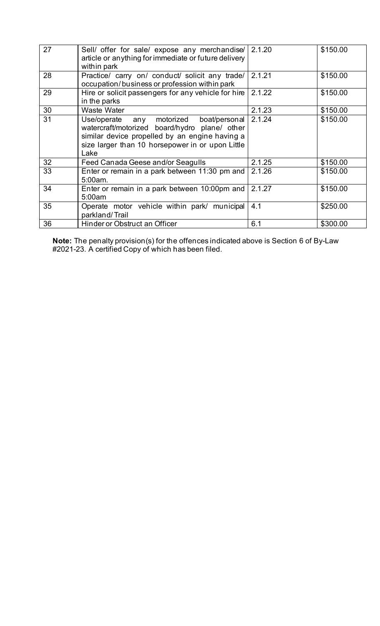| 27 | Sell/ offer for sale/ expose any merchandise/<br>article or anything for immediate or future delivery<br>within park                                                                                      | 2.1.20 | \$150.00 |
|----|-----------------------------------------------------------------------------------------------------------------------------------------------------------------------------------------------------------|--------|----------|
| 28 | Practice/ carry on/ conduct/ solicit any trade/<br>occupation/business or profession within park                                                                                                          | 2.1.21 | \$150.00 |
| 29 | Hire or solicit passengers for any vehicle for hire<br>in the parks                                                                                                                                       | 2.1.22 | \$150.00 |
| 30 | <b>Waste Water</b>                                                                                                                                                                                        | 2.1.23 | \$150.00 |
| 31 | Use/operate any motorized<br>boat/personal<br>watercraft/motorized board/hydro plane/ other<br>similar device propelled by an engine having a<br>size larger than 10 horsepower in or upon Little<br>Lake | 2.1.24 | \$150.00 |
| 32 | Feed Canada Geese and/or Seagulls                                                                                                                                                                         | 2.1.25 | \$150.00 |
| 33 | Enter or remain in a park between 11:30 pm and<br>5:00am.                                                                                                                                                 | 2.1.26 | \$150.00 |
| 34 | Enter or remain in a park between 10:00pm and<br>5:00am                                                                                                                                                   | 2.1.27 | \$150.00 |
| 35 | Operate motor vehicle within park/ municipal<br>parkland/Trail                                                                                                                                            | 4.1    | \$250.00 |
| 36 | Hinder or Obstruct an Officer                                                                                                                                                                             | 6.1    | \$300.00 |

**Note:** The penalty provision(s) for the offences indicated above is Section 6 of By-Law #2021-23. A certified Copy of which has been filed.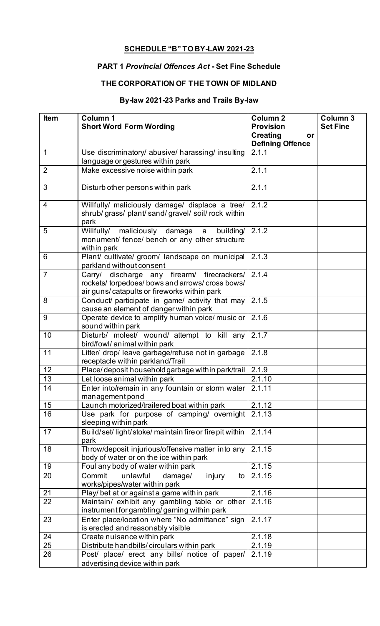# **SCHEDULE "B" TO BY-LAW 2021-23**

# **PART 1** *Provincial Offences Act* **- Set Fine Schedule**

# **THE CORPORATION OF THE TOWN OF MIDLAND**

# **By-law 2021-23 Parks and Trails By-law**

| <b>Item</b>    | Column 1<br><b>Short Word Form Wording</b>                                                                                                     | Column <sub>2</sub><br><b>Provision</b>          | Column 3<br><b>Set Fine</b> |
|----------------|------------------------------------------------------------------------------------------------------------------------------------------------|--------------------------------------------------|-----------------------------|
|                |                                                                                                                                                | <b>Creating</b><br>or<br><b>Defining Offence</b> |                             |
| $\mathbf 1$    | Use discriminatory/ abusive/ harassing/ insulting                                                                                              | 2.1.1                                            |                             |
|                | language or gestures within park                                                                                                               |                                                  |                             |
| $\overline{2}$ | Make excessive noise within park                                                                                                               | 2.1.1                                            |                             |
| 3              | Disturb other persons within park                                                                                                              | 2.1.1                                            |                             |
| $\overline{4}$ | Willfully/ maliciously damage/ displace a tree/<br>shrub/ grass/ plant/ sand/ gravel/ soil/ rock within<br>park                                | 2.1.2                                            |                             |
| 5              | Willfully/ maliciously damage a<br>building/<br>monument/ fence/ bench or any other structure<br>within park                                   | 2.1.2                                            |                             |
| 6              | Plant/ cultivate/ groom/ landscape on municipal<br>parkland without consent                                                                    | 2.1.3                                            |                             |
| $\overline{7}$ | Carry/ discharge any firearm/ firecrackers/<br>rockets/ torpedoes/ bows and arrows/ cross bows/<br>air guns/catapults or fireworks within park | 2.1.4                                            |                             |
| 8              | Conduct/ participate in game/ activity that may<br>cause an element of danger within park                                                      | 2.1.5                                            |                             |
| 9              | Operate device to amplify human voice/ music or<br>sound within park                                                                           | 2.1.6                                            |                             |
| 10             | Disturb/ molest/ wound/ attempt to kill any<br>bird/fowl/ animal within park                                                                   | 2.1.7                                            |                             |
| 11             | Litter/ drop/ leave garbage/refuse not in garbage<br>receptacle within parkland/Trail                                                          | 2.1.8                                            |                             |
| 12             | Place/deposit household garbage within park/trail                                                                                              | 2.1.9                                            |                             |
| 13             | Let loose animal within park                                                                                                                   | 2.1.10                                           |                             |
| 14             | Enter into/remain in any fountain or storm water 2.1.11<br>management pond                                                                     |                                                  |                             |
| 15             | Launch motorized/trailered boat within park                                                                                                    | 2.1.12                                           |                             |
| 16             | Use park for purpose of camping/ overnight<br>sleeping within park                                                                             | 2.1.13                                           |                             |
| 17             | Build/set/light/stoke/maintain fire or fire pit within<br>park                                                                                 | 2.1.14                                           |                             |
| 18             | Throw/deposit injurious/offensive matter into any<br>body of water or on the ice within park                                                   | 2.1.15                                           |                             |
| 19             | Foul any body of water within park                                                                                                             | 2.1.15                                           |                             |
| 20             | Commit<br>unlawful<br>damage/<br>injury<br>to<br>works/pipes/water within park                                                                 | 2.1.15                                           |                             |
| 21             | Play/ bet at or against a game within park                                                                                                     | 2.1.16                                           |                             |
| 22             | Maintain/ exhibit any gambling table or other<br>instrument for gambling/gaming within park                                                    | 2.1.16                                           |                             |
| 23             | Enter place/location where "No admittance" sign<br>is erected and reasonably visible                                                           | 2.1.17                                           |                             |
| 24             | Create nuisance within park                                                                                                                    | 2.1.18                                           |                             |
| 25             | Distribute handbills/circulars within park                                                                                                     | 2.1.19                                           |                             |
| 26             | Post/ place/ erect any bills/ notice of paper/<br>advertising device within park                                                               | 2.1.19                                           |                             |